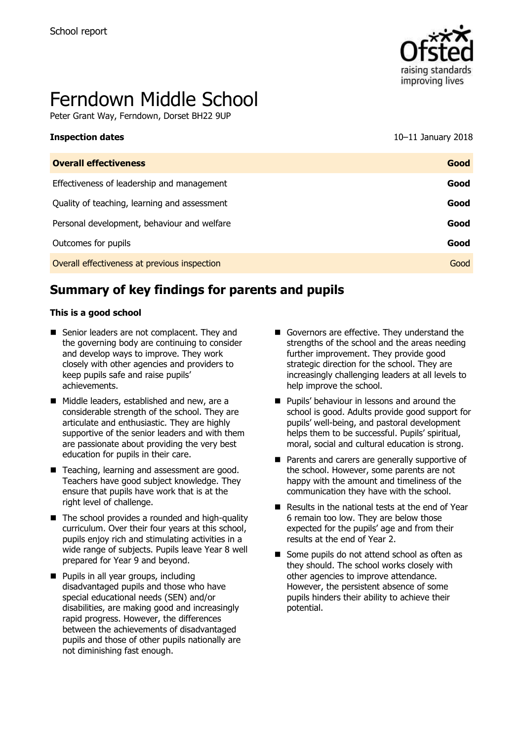**Inspection dates** 



# Ferndown Middle School

Peter Grant Way, Ferndown, Dorset BH22 9UP

| 10-11 January 2018 |  |
|--------------------|--|
|                    |  |

| <b>Overall effectiveness</b>                 | Good |
|----------------------------------------------|------|
| Effectiveness of leadership and management   | Good |
| Quality of teaching, learning and assessment | Good |
| Personal development, behaviour and welfare  | Good |
| Outcomes for pupils                          | Good |
| Overall effectiveness at previous inspection | Good |

# **Summary of key findings for parents and pupils**

#### **This is a good school**

- Senior leaders are not complacent. They and the governing body are continuing to consider and develop ways to improve. They work closely with other agencies and providers to keep pupils safe and raise pupils' achievements.
- Middle leaders, established and new, are a considerable strength of the school. They are articulate and enthusiastic. They are highly supportive of the senior leaders and with them are passionate about providing the very best education for pupils in their care.
- Teaching, learning and assessment are good. Teachers have good subject knowledge. They ensure that pupils have work that is at the right level of challenge.
- The school provides a rounded and high-quality curriculum. Over their four years at this school, pupils enjoy rich and stimulating activities in a wide range of subjects. Pupils leave Year 8 well prepared for Year 9 and beyond.
- **Pupils in all year groups, including** disadvantaged pupils and those who have special educational needs (SEN) and/or disabilities, are making good and increasingly rapid progress. However, the differences between the achievements of disadvantaged pupils and those of other pupils nationally are not diminishing fast enough.
- Governors are effective. They understand the strengths of the school and the areas needing further improvement. They provide good strategic direction for the school. They are increasingly challenging leaders at all levels to help improve the school.
- **Pupils' behaviour in lessons and around the** school is good. Adults provide good support for pupils' well-being, and pastoral development helps them to be successful. Pupils' spiritual, moral, social and cultural education is strong.
- **Parents and carers are generally supportive of** the school. However, some parents are not happy with the amount and timeliness of the communication they have with the school.
- Results in the national tests at the end of Year 6 remain too low. They are below those expected for the pupils' age and from their results at the end of Year 2.
- Some pupils do not attend school as often as they should. The school works closely with other agencies to improve attendance. However, the persistent absence of some pupils hinders their ability to achieve their potential.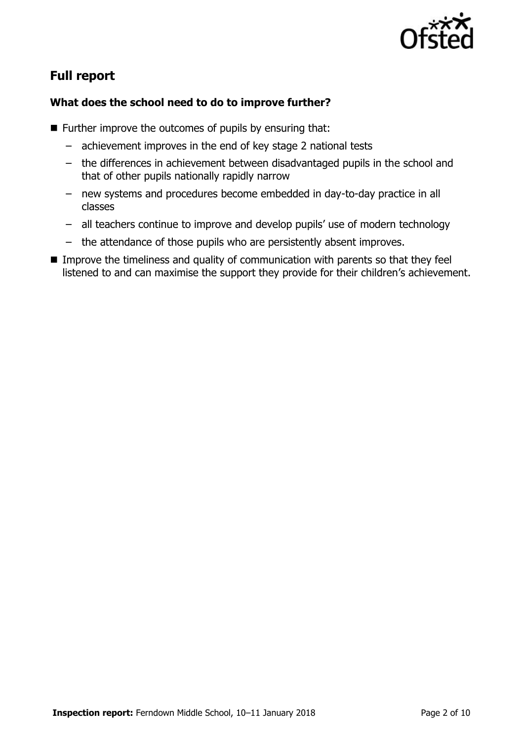

# **Full report**

### **What does the school need to do to improve further?**

- $\blacksquare$  Further improve the outcomes of pupils by ensuring that:
	- achievement improves in the end of key stage 2 national tests
	- the differences in achievement between disadvantaged pupils in the school and that of other pupils nationally rapidly narrow
	- new systems and procedures become embedded in day-to-day practice in all classes
	- all teachers continue to improve and develop pupils' use of modern technology
	- the attendance of those pupils who are persistently absent improves.
- Improve the timeliness and quality of communication with parents so that they feel listened to and can maximise the support they provide for their children's achievement.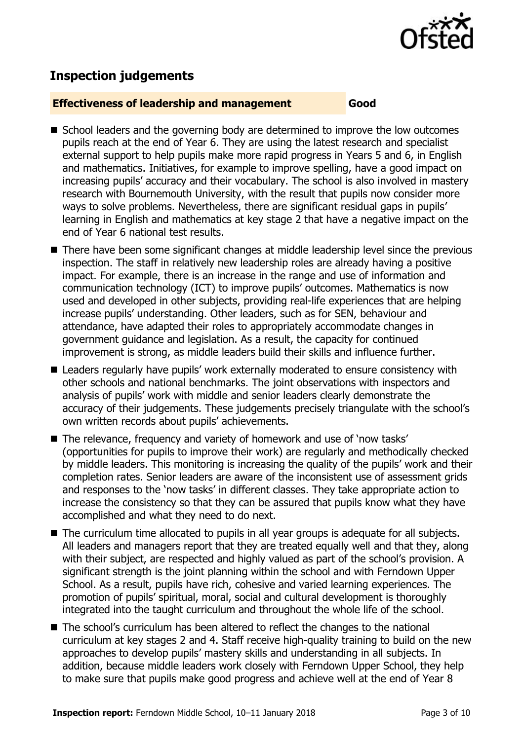

# **Inspection judgements**

#### **Effectiveness of leadership and management Good**

- School leaders and the governing body are determined to improve the low outcomes pupils reach at the end of Year 6. They are using the latest research and specialist external support to help pupils make more rapid progress in Years 5 and 6, in English and mathematics. Initiatives, for example to improve spelling, have a good impact on increasing pupils' accuracy and their vocabulary. The school is also involved in mastery research with Bournemouth University, with the result that pupils now consider more ways to solve problems. Nevertheless, there are significant residual gaps in pupils' learning in English and mathematics at key stage 2 that have a negative impact on the end of Year 6 national test results.
- There have been some significant changes at middle leadership level since the previous inspection. The staff in relatively new leadership roles are already having a positive impact. For example, there is an increase in the range and use of information and communication technology (ICT) to improve pupils' outcomes. Mathematics is now used and developed in other subjects, providing real-life experiences that are helping increase pupils' understanding. Other leaders, such as for SEN, behaviour and attendance, have adapted their roles to appropriately accommodate changes in government guidance and legislation. As a result, the capacity for continued improvement is strong, as middle leaders build their skills and influence further.
- Leaders regularly have pupils' work externally moderated to ensure consistency with other schools and national benchmarks. The joint observations with inspectors and analysis of pupils' work with middle and senior leaders clearly demonstrate the accuracy of their judgements. These judgements precisely triangulate with the school's own written records about pupils' achievements.
- The relevance, frequency and variety of homework and use of 'now tasks' (opportunities for pupils to improve their work) are regularly and methodically checked by middle leaders. This monitoring is increasing the quality of the pupils' work and their completion rates. Senior leaders are aware of the inconsistent use of assessment grids and responses to the 'now tasks' in different classes. They take appropriate action to increase the consistency so that they can be assured that pupils know what they have accomplished and what they need to do next.
- The curriculum time allocated to pupils in all year groups is adequate for all subjects. All leaders and managers report that they are treated equally well and that they, along with their subject, are respected and highly valued as part of the school's provision. A significant strength is the joint planning within the school and with Ferndown Upper School. As a result, pupils have rich, cohesive and varied learning experiences. The promotion of pupils' spiritual, moral, social and cultural development is thoroughly integrated into the taught curriculum and throughout the whole life of the school.
- The school's curriculum has been altered to reflect the changes to the national curriculum at key stages 2 and 4. Staff receive high-quality training to build on the new approaches to develop pupils' mastery skills and understanding in all subjects. In addition, because middle leaders work closely with Ferndown Upper School, they help to make sure that pupils make good progress and achieve well at the end of Year 8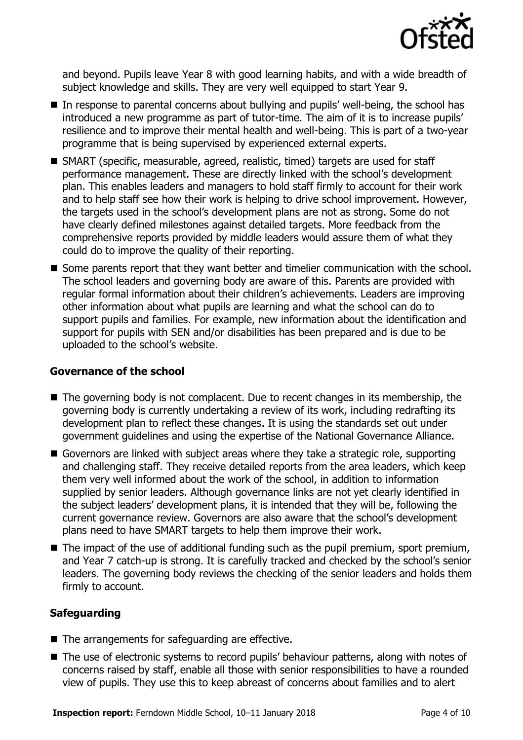

and beyond. Pupils leave Year 8 with good learning habits, and with a wide breadth of subject knowledge and skills. They are very well equipped to start Year 9.

- In response to parental concerns about bullying and pupils' well-being, the school has introduced a new programme as part of tutor-time. The aim of it is to increase pupils' resilience and to improve their mental health and well-being. This is part of a two-year programme that is being supervised by experienced external experts.
- SMART (specific, measurable, agreed, realistic, timed) targets are used for staff performance management. These are directly linked with the school's development plan. This enables leaders and managers to hold staff firmly to account for their work and to help staff see how their work is helping to drive school improvement. However, the targets used in the school's development plans are not as strong. Some do not have clearly defined milestones against detailed targets. More feedback from the comprehensive reports provided by middle leaders would assure them of what they could do to improve the quality of their reporting.
- Some parents report that they want better and timelier communication with the school. The school leaders and governing body are aware of this. Parents are provided with regular formal information about their children's achievements. Leaders are improving other information about what pupils are learning and what the school can do to support pupils and families. For example, new information about the identification and support for pupils with SEN and/or disabilities has been prepared and is due to be uploaded to the school's website.

#### **Governance of the school**

- The governing body is not complacent. Due to recent changes in its membership, the governing body is currently undertaking a review of its work, including redrafting its development plan to reflect these changes. It is using the standards set out under government guidelines and using the expertise of the National Governance Alliance.
- Governors are linked with subject areas where they take a strategic role, supporting and challenging staff. They receive detailed reports from the area leaders, which keep them very well informed about the work of the school, in addition to information supplied by senior leaders. Although governance links are not yet clearly identified in the subject leaders' development plans, it is intended that they will be, following the current governance review. Governors are also aware that the school's development plans need to have SMART targets to help them improve their work.
- The impact of the use of additional funding such as the pupil premium, sport premium, and Year 7 catch-up is strong. It is carefully tracked and checked by the school's senior leaders. The governing body reviews the checking of the senior leaders and holds them firmly to account.

#### **Safeguarding**

- $\blacksquare$  The arrangements for safeguarding are effective.
- The use of electronic systems to record pupils' behaviour patterns, along with notes of concerns raised by staff, enable all those with senior responsibilities to have a rounded view of pupils. They use this to keep abreast of concerns about families and to alert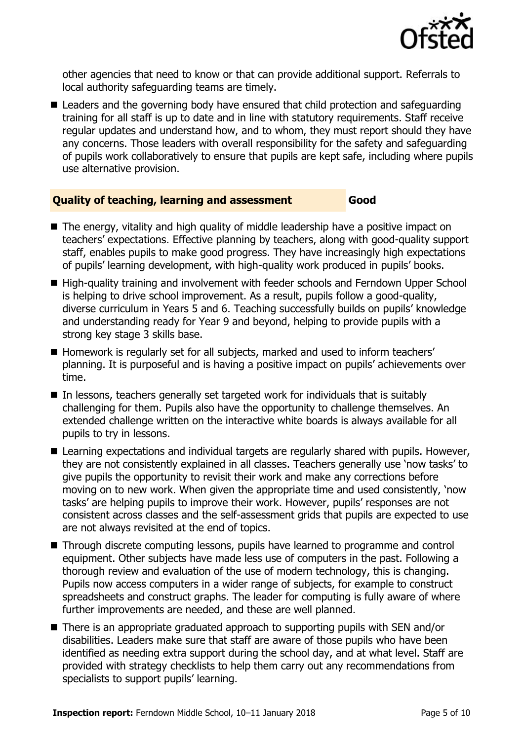

other agencies that need to know or that can provide additional support. Referrals to local authority safeguarding teams are timely.

■ Leaders and the governing body have ensured that child protection and safeguarding training for all staff is up to date and in line with statutory requirements. Staff receive regular updates and understand how, and to whom, they must report should they have any concerns. Those leaders with overall responsibility for the safety and safeguarding of pupils work collaboratively to ensure that pupils are kept safe, including where pupils use alternative provision.

#### **Quality of teaching, learning and assessment Good**

- The energy, vitality and high quality of middle leadership have a positive impact on teachers' expectations. Effective planning by teachers, along with good-quality support staff, enables pupils to make good progress. They have increasingly high expectations of pupils' learning development, with high-quality work produced in pupils' books.
- High-quality training and involvement with feeder schools and Ferndown Upper School is helping to drive school improvement. As a result, pupils follow a good-quality, diverse curriculum in Years 5 and 6. Teaching successfully builds on pupils' knowledge and understanding ready for Year 9 and beyond, helping to provide pupils with a strong key stage 3 skills base.
- Homework is regularly set for all subjects, marked and used to inform teachers' planning. It is purposeful and is having a positive impact on pupils' achievements over time.
- $\blacksquare$  In lessons, teachers generally set targeted work for individuals that is suitably challenging for them. Pupils also have the opportunity to challenge themselves. An extended challenge written on the interactive white boards is always available for all pupils to try in lessons.
- Learning expectations and individual targets are regularly shared with pupils. However, they are not consistently explained in all classes. Teachers generally use 'now tasks' to give pupils the opportunity to revisit their work and make any corrections before moving on to new work. When given the appropriate time and used consistently, 'now tasks' are helping pupils to improve their work. However, pupils' responses are not consistent across classes and the self-assessment grids that pupils are expected to use are not always revisited at the end of topics.
- Through discrete computing lessons, pupils have learned to programme and control equipment. Other subjects have made less use of computers in the past. Following a thorough review and evaluation of the use of modern technology, this is changing. Pupils now access computers in a wider range of subjects, for example to construct spreadsheets and construct graphs. The leader for computing is fully aware of where further improvements are needed, and these are well planned.
- There is an appropriate graduated approach to supporting pupils with SEN and/or disabilities. Leaders make sure that staff are aware of those pupils who have been identified as needing extra support during the school day, and at what level. Staff are provided with strategy checklists to help them carry out any recommendations from specialists to support pupils' learning.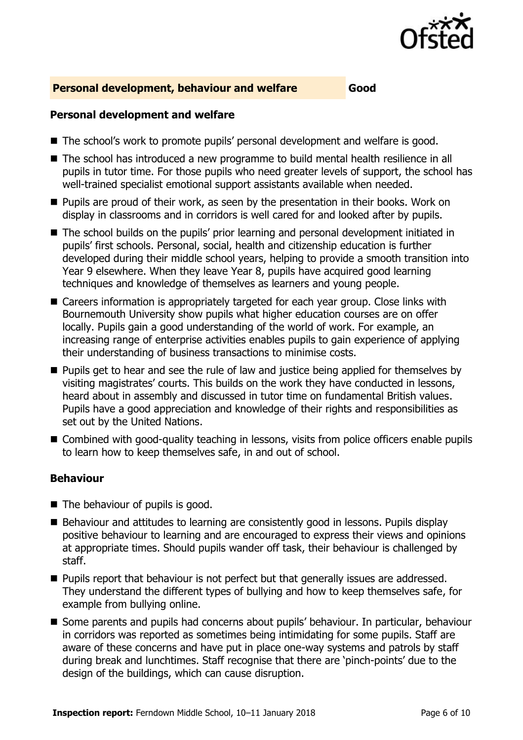

#### **Personal development, behaviour and welfare Good**

#### **Personal development and welfare**

- The school's work to promote pupils' personal development and welfare is good.
- The school has introduced a new programme to build mental health resilience in all pupils in tutor time. For those pupils who need greater levels of support, the school has well-trained specialist emotional support assistants available when needed.
- **Pupils are proud of their work, as seen by the presentation in their books. Work on** display in classrooms and in corridors is well cared for and looked after by pupils.
- The school builds on the pupils' prior learning and personal development initiated in pupils' first schools. Personal, social, health and citizenship education is further developed during their middle school years, helping to provide a smooth transition into Year 9 elsewhere. When they leave Year 8, pupils have acquired good learning techniques and knowledge of themselves as learners and young people.
- Careers information is appropriately targeted for each year group. Close links with Bournemouth University show pupils what higher education courses are on offer locally. Pupils gain a good understanding of the world of work. For example, an increasing range of enterprise activities enables pupils to gain experience of applying their understanding of business transactions to minimise costs.
- **Pupils get to hear and see the rule of law and justice being applied for themselves by** visiting magistrates' courts. This builds on the work they have conducted in lessons, heard about in assembly and discussed in tutor time on fundamental British values. Pupils have a good appreciation and knowledge of their rights and responsibilities as set out by the United Nations.
- Combined with good-quality teaching in lessons, visits from police officers enable pupils to learn how to keep themselves safe, in and out of school.

#### **Behaviour**

- $\blacksquare$  The behaviour of pupils is good.
- Behaviour and attitudes to learning are consistently good in lessons. Pupils display positive behaviour to learning and are encouraged to express their views and opinions at appropriate times. Should pupils wander off task, their behaviour is challenged by staff.
- **Pupils report that behaviour is not perfect but that generally issues are addressed.** They understand the different types of bullying and how to keep themselves safe, for example from bullying online.
- Some parents and pupils had concerns about pupils' behaviour. In particular, behaviour in corridors was reported as sometimes being intimidating for some pupils. Staff are aware of these concerns and have put in place one-way systems and patrols by staff during break and lunchtimes. Staff recognise that there are 'pinch-points' due to the design of the buildings, which can cause disruption.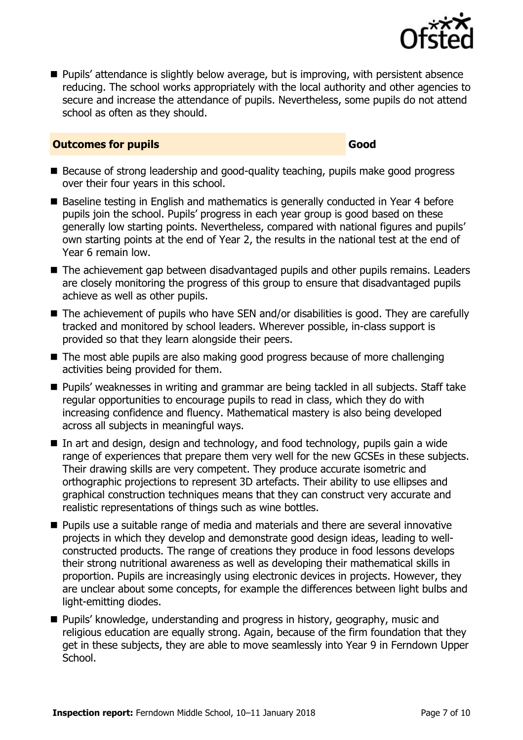

**Pupils'** attendance is slightly below average, but is improving, with persistent absence reducing. The school works appropriately with the local authority and other agencies to secure and increase the attendance of pupils. Nevertheless, some pupils do not attend school as often as they should.

#### **Outcomes for pupils Good**

- Because of strong leadership and good-quality teaching, pupils make good progress over their four years in this school.
- Baseline testing in English and mathematics is generally conducted in Year 4 before pupils join the school. Pupils' progress in each year group is good based on these generally low starting points. Nevertheless, compared with national figures and pupils' own starting points at the end of Year 2, the results in the national test at the end of Year 6 remain low.
- The achievement gap between disadvantaged pupils and other pupils remains. Leaders are closely monitoring the progress of this group to ensure that disadvantaged pupils achieve as well as other pupils.
- The achievement of pupils who have SEN and/or disabilities is good. They are carefully tracked and monitored by school leaders. Wherever possible, in-class support is provided so that they learn alongside their peers.
- The most able pupils are also making good progress because of more challenging activities being provided for them.
- Pupils' weaknesses in writing and grammar are being tackled in all subjects. Staff take regular opportunities to encourage pupils to read in class, which they do with increasing confidence and fluency. Mathematical mastery is also being developed across all subjects in meaningful ways.
- In art and design, design and technology, and food technology, pupils gain a wide range of experiences that prepare them very well for the new GCSEs in these subjects. Their drawing skills are very competent. They produce accurate isometric and orthographic projections to represent 3D artefacts. Their ability to use ellipses and graphical construction techniques means that they can construct very accurate and realistic representations of things such as wine bottles.
- Pupils use a suitable range of media and materials and there are several innovative projects in which they develop and demonstrate good design ideas, leading to wellconstructed products. The range of creations they produce in food lessons develops their strong nutritional awareness as well as developing their mathematical skills in proportion. Pupils are increasingly using electronic devices in projects. However, they are unclear about some concepts, for example the differences between light bulbs and light-emitting diodes.
- Pupils' knowledge, understanding and progress in history, geography, music and religious education are equally strong. Again, because of the firm foundation that they get in these subjects, they are able to move seamlessly into Year 9 in Ferndown Upper School.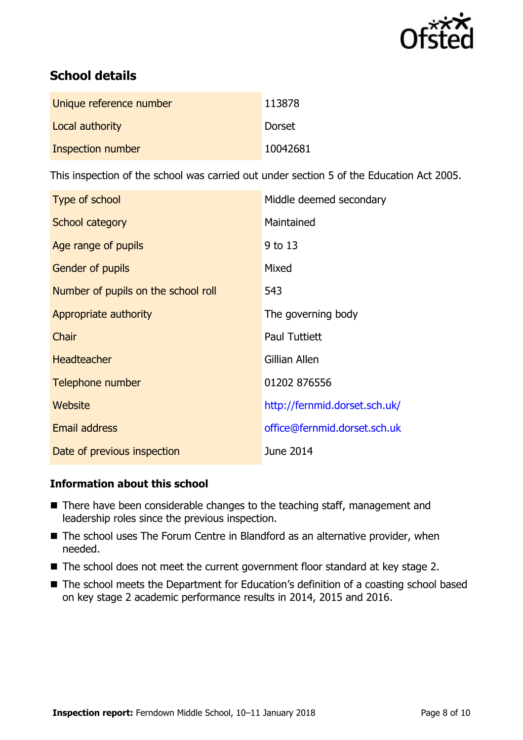

# **School details**

| Unique reference number | 113878   |
|-------------------------|----------|
| Local authority         | Dorset   |
| Inspection number       | 10042681 |

This inspection of the school was carried out under section 5 of the Education Act 2005.

| Type of school                      | Middle deemed secondary       |
|-------------------------------------|-------------------------------|
| School category                     | Maintained                    |
| Age range of pupils                 | 9 to 13                       |
| <b>Gender of pupils</b>             | Mixed                         |
| Number of pupils on the school roll | 543                           |
| Appropriate authority               | The governing body            |
| Chair                               | <b>Paul Tuttiett</b>          |
| <b>Headteacher</b>                  | Gillian Allen                 |
| Telephone number                    | 01202 876556                  |
| Website                             | http://fernmid.dorset.sch.uk/ |
| <b>Email address</b>                | office@fernmid.dorset.sch.uk  |
| Date of previous inspection         | June 2014                     |

#### **Information about this school**

- There have been considerable changes to the teaching staff, management and leadership roles since the previous inspection.
- The school uses The Forum Centre in Blandford as an alternative provider, when needed.
- The school does not meet the current government floor standard at key stage 2.
- The school meets the Department for Education's definition of a coasting school based on key stage 2 academic performance results in 2014, 2015 and 2016.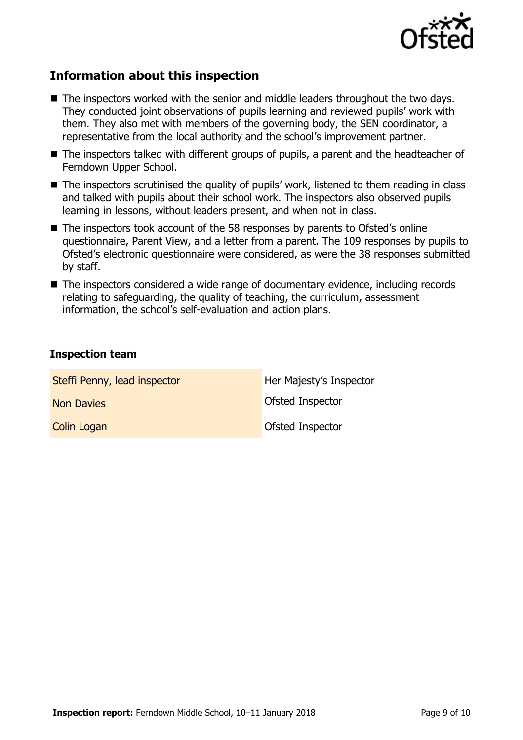

## **Information about this inspection**

- The inspectors worked with the senior and middle leaders throughout the two days. They conducted joint observations of pupils learning and reviewed pupils' work with them. They also met with members of the governing body, the SEN coordinator, a representative from the local authority and the school's improvement partner.
- The inspectors talked with different groups of pupils, a parent and the headteacher of Ferndown Upper School.
- The inspectors scrutinised the quality of pupils' work, listened to them reading in class and talked with pupils about their school work. The inspectors also observed pupils learning in lessons, without leaders present, and when not in class.
- The inspectors took account of the 58 responses by parents to Ofsted's online questionnaire, Parent View, and a letter from a parent. The 109 responses by pupils to Ofsted's electronic questionnaire were considered, as were the 38 responses submitted by staff.
- The inspectors considered a wide range of documentary evidence, including records relating to safeguarding, the quality of teaching, the curriculum, assessment information, the school's self-evaluation and action plans.

#### **Inspection team**

| Steffi Penny, lead inspector | Her Majesty's Inspector |
|------------------------------|-------------------------|
| Non Davies                   | Ofsted Inspector        |
| <b>Colin Logan</b>           | Ofsted Inspector        |